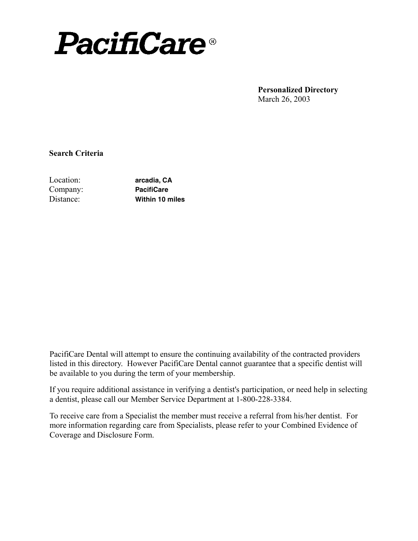

**Personalized Directory** March 26, 2003

**Search Criteria**

Location: Company: Distance:

**arcadia, CA PacifiCare Within 10 miles**

PacifiCare Dental will attempt to ensure the continuing availability of the contracted providers listed in this directory. However PacifiCare Dental cannot guarantee that a specific dentist will be available to you during the term of your membership.

If you require additional assistance in verifying a dentist's participation, or need help in selecting a dentist, please call our Member Service Department at 1-800-228-3384.

To receive care from a Specialist the member must receive a referral from his/her dentist. For more information regarding care from Specialists, please refer to your Combined Evidence of Coverage and Disclosure Form.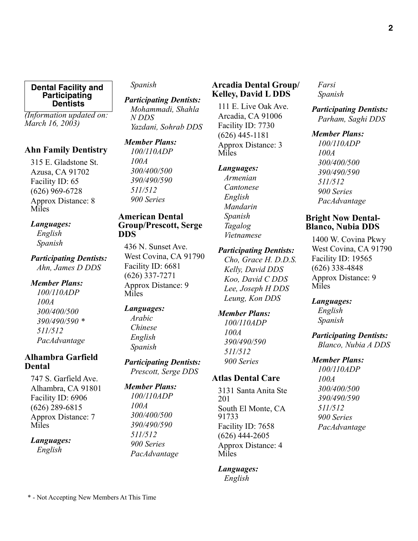*(Information updated on: March 16, 2003)*

# **Ahn Family Dentistry**

315 E. Gladstone St. Azusa, CA 91702 Facility ID: 65 (626) 969-6728 Approx Distance: 8 Miles

### *Languages:*

*English Spanish*

# *Participating Dentists:*

*Ahn, James D DDS*

# *Member Plans:*

*100/110ADP 100A 300/400/500 390/490/590 \* 511/512 PacAdvantage* 

# **Alhambra Garfield Dental**

747 S. Garfield Ave. Alhambra, CA 91801 Facility ID: 6906 (626) 289-6815 Approx Distance: 7 Miles

### *Languages:*

*English*

# *Spanish*

*Participating Dentists: Mohammadi, Shahla N DDS Yazdani, Sohrab DDS*

# *Member Plans:*

*100/110ADP 100A 300/400/500 390/490/590 511/512 900 Series* 

### **American Dental Group/Prescott, Serge DDS**

436 N. Sunset Ave. West Covina, CA 91790 Facility ID: 6681 (626) 337-7271 Approx Distance: 9 Miles

# *Languages:*

*Arabic Chinese English Spanish*

### *Participating Dentists: Prescott, Serge DDS*

# *Member Plans:*

*100/110ADP 100A 300/400/500 390/490/590 511/512 900 Series PacAdvantage* 

# **Arcadia Dental Group/ Kelley, David L DDS**

111 E. Live Oak Ave. Arcadia, CA 91006 Facility ID: 7730 (626) 445-1181 Approx Distance: 3 Miles

### *Languages:*

*Armenian Cantonese English Mandarin Spanish Tagalog Vietnamese*

### *Participating Dentists:*

*Cho, Grace H. D.D.S. Kelly, David DDS Koo, David C DDS Lee, Joseph H DDS Leung, Kon DDS*

# *Member Plans:*

*100/110ADP 100A 390/490/590 511/512 900 Series* 

# **Atlas Dental Care**

3131 Santa Anita Ste 201 South El Monte, CA 91733 Facility ID: 7658 (626) 444-2605 Approx Distance: 4 Miles

# *Languages:*

*English*

*Farsi Spanish*

*Participating Dentists: Parham, Saghi DDS*

# *Member Plans:*

*100/110ADP 100A 300/400/500 390/490/590 511/512 900 Series PacAdvantage* 

# **Bright Now Dental-Blanco, Nubia DDS**

1400 W. Covina Pkwy West Covina, CA 91790 Facility ID: 19565 (626) 338-4848 Approx Distance: 9 Miles

# *Languages:*

*English Spanish*

*Participating Dentists: Blanco, Nubia A DDS*

### *Member Plans:*

*100/110ADP 100A 300/400/500 390/490/590 511/512 900 Series PacAdvantage*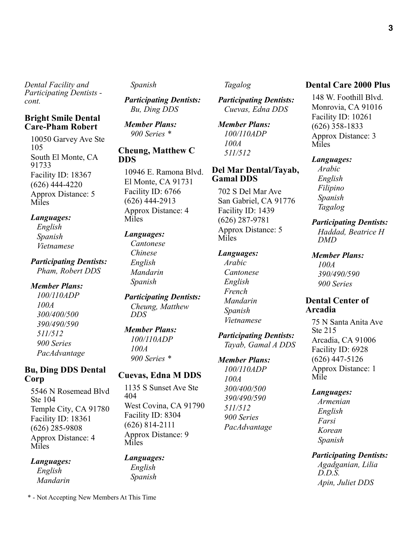### **Bright Smile Dental Care-Pham Robert**

10050 Garvey Ave Ste 105 South El Monte, CA 91733 Facility ID: 18367 (626) 444-4220 Approx Distance: 5 **Miles** 

### *Languages:*

*English Spanish Vietnamese*

### *Participating Dentists: Pham, Robert DDS*

*Member Plans:*

*100/110ADP 100A 300/400/500 390/490/590 511/512 900 Series PacAdvantage* 

# **Bu, Ding DDS Dental Corp**

5546 N Rosemead Blvd Ste 104 Temple City, CA 91780 Facility ID: 18361 (626) 285-9808 Approx Distance: 4 Miles

# *Languages:*

*English Mandarin*

#### *Spanish*

*Participating Dentists: Bu, Ding DDS*

*Member Plans: 900 Series \**

#### **Cheung, Matthew C DDS**

10946 E. Ramona Blvd. El Monte, CA 91731 Facility ID: 6766 (626) 444-2913 Approx Distance: 4 Miles

# *Languages:*

*Cantonese Chinese English Mandarin Spanish*

*Participating Dentists: Cheung, Matthew DDS*

# *Member Plans:*

*100/110ADP 100A 900 Series \**

### **Cuevas, Edna M DDS**

1135 S Sunset Ave Ste 404 West Covina, CA 91790 Facility ID: 8304 (626) 814-2111 Approx Distance: 9 Miles

# *Languages:*

*English Spanish*

# *Tagalog*

*Participating Dentists: Cuevas, Edna DDS*

*Member Plans: 100/110ADP 100A 511/512* 

# **Del Mar Dental/Tayab, Gamal DDS**

702 S Del Mar Ave San Gabriel, CA 91776 Facility ID: 1439 (626) 287-9781 Approx Distance: 5 Miles

#### *Languages:*

*Arabic Cantonese English French Mandarin Spanish Vietnamese*

*Participating Dentists: Tayab, Gamal A DDS*

# *Member Plans:*

*100/110ADP 100A 300/400/500 390/490/590 511/512 900 Series PacAdvantage* 

# **Dental Care 2000 Plus**

148 W. Foothill Blvd. Monrovia, CA 91016 Facility ID: 10261 (626) 358-1833 Approx Distance: 3 Miles

#### *Languages:*

*Arabic English Filipino Spanish Tagalog*

#### *Participating Dentists:*

*Haddad, Beatrice H DMD*

### *Member Plans:*

*100A 390/490/590 900 Series* 

# **Dental Center of Arcadia**

75 N Santa Anita Ave Ste 215 Arcadia, CA 91006 Facility ID: 6928 (626) 447-5126 Approx Distance: 1 Mile

### *Languages:*

*Armenian English Farsi Korean Spanish*

# *Participating Dentists:*

*Agadganian, Lilia D.D.S. Apin, Juliet DDS*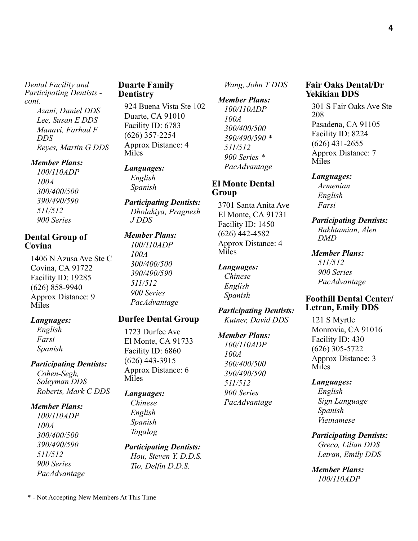> *Azani, Daniel DDS Lee, Susan E DDS Manavi, Farhad F DDS Reyes, Martin G DDS*

#### *Member Plans:*

*100/110ADP 100A 300/400/500 390/490/590 511/512 900 Series* 

# **Dental Group of Covina**

1406 N Azusa Ave Ste C Covina, CA 91722 Facility ID: 19285 (626) 858-9940 Approx Distance: 9 Miles

#### *Languages:*

*English Farsi Spanish*

# *Participating Dentists:*

*Cohen-Segh, Soleyman DDS Roberts, Mark C DDS*

### *Member Plans:*

*100/110ADP 100A 300/400/500 390/490/590 511/512 900 Series PacAdvantage* 

# **Duarte Family Dentistry**

924 Buena Vista Ste 102 Duarte, CA 91010 Facility ID: 6783 (626) 357-2254 Approx Distance: 4 Miles

#### *Languages: English*

*Spanish*

#### *Participating Dentists: Dholakiya, Pragnesh J DDS*

*Member Plans:*

*100/110ADP 100A 300/400/500 390/490/590 511/512 900 Series PacAdvantage* 

# **Durfee Dental Group**

1723 Durfee Ave El Monte, CA 91733 Facility ID: 6860 (626) 443-3915 Approx Distance: 6 Miles

# *Languages:*

*Chinese English Spanish Tagalog*

*Participating Dentists: Hou, Steven Y. D.D.S. Tio, Delfin D.D.S.*

*Wang, John T DDS*

*Member Plans: 100/110ADP 100A 300/400/500 390/490/590 \* 511/512 900 Series \* PacAdvantage* 

# **El Monte Dental Group**

3701 Santa Anita Ave El Monte, CA 91731 Facility ID: 1450 (626) 442-4582 Approx Distance: 4 Miles

### *Languages:*

*Chinese English Spanish*

*Participating Dentists: Kutner, David DDS*

# *Member Plans: 100/110ADP 100A 300/400/500 390/490/590 511/512 900 Series PacAdvantage*

**Fair Oaks Dental/Dr Yekikian DDS**

301 S Fair Oaks Ave Ste 208 Pasadena, CA 91105 Facility ID: 8224 (626) 431-2655 Approx Distance: 7 Miles

#### *Languages:*

*Armenian English Farsi*

#### *Participating Dentists: Bakhtamian, Alen*

*DMD*

### *Member Plans:*

*511/512 900 Series PacAdvantage* 

# **Foothill Dental Center/ Letran, Emily DDS**

121 S Myrtle Monrovia, CA 91016 Facility ID: 430 (626) 305-5722 Approx Distance: 3 Miles

### *Languages:*

*English Sign Language Spanish Vietnamese*

*Participating Dentists:*

*Greco, Lilian DDS Letran, Emily DDS*

*Member Plans: 100/110ADP*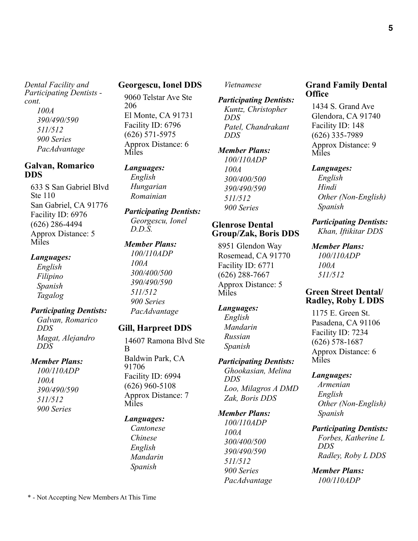*390/490/590 511/512 900 Series PacAdvantage* 

### **Galvan, Romarico DDS**

633 S San Gabriel Blvd Ste 110 San Gabriel, CA 91776 Facility ID: 6976 (626) 286-4494 Approx Distance: 5 **Miles** 

### *Languages:*

*English Filipino Spanish Tagalog*

### *Participating Dentists:*

*Galvan, Romarico DDS Magat, Alejandro DDS*

### *Member Plans:*

*100/110ADP 100A 390/490/590 511/512 900 Series* 

# **Georgescu, Ionel DDS**

9060 Telstar Ave Ste 206 El Monte, CA 91731 Facility ID: 6796 (626) 571-5975 Approx Distance: 6 Miles

# *Languages:*

*English Hungarian Romainian*

*Participating Dentists: Georgescu, Ionel D.D.S.*

# *Member Plans:*

*100/110ADP 100A 300/400/500 390/490/590 511/512 900 Series PacAdvantage* 

# **Gill, Harpreet DDS**

14607 Ramona Blvd Ste B

Baldwin Park, CA 91706 Facility ID: 6994 (626) 960-5108 Approx Distance: 7 Miles

### *Languages:*

*Cantonese Chinese English Mandarin Spanish*

#### *Vietnamese*

*Participating Dentists: Kuntz, Christopher DDS Patel, Chandrakant DDS*

### *Member Plans:*

*100/110ADP 100A 300/400/500 390/490/590 511/512 900 Series* 

### **Glenrose Dental Group/Zak, Boris DDS**

8951 Glendon Way Rosemead, CA 91770 Facility ID: 6771 (626) 288-7667 Approx Distance: 5 Miles

### *Languages:*

*English Mandarin Russian Spanish*

# *Participating Dentists:*

*Ghookasian, Melina DDS Loo, Milagros A DMD Zak, Boris DDS*

#### *Member Plans:*

*100/110ADP 100A 300/400/500 390/490/590 511/512 900 Series PacAdvantage* 

# **Grand Family Dental Office**

1434 S. Grand Ave Glendora, CA 91740 Facility ID: 148 (626) 335-7989 Approx Distance: 9 Miles

### *Languages:*

*English Hindi Other (Non-English) Spanish*

#### *Participating Dentists: Khan, Iftikitar DDS*

*Member Plans: 100/110ADP 100A 511/512* 

# **Green Street Dental/ Radley, Roby L DDS**

1175 E. Green St. Pasadena, CA 91106 Facility ID: 7234 (626) 578-1687 Approx Distance: 6 Miles

#### *Languages:*

*Armenian English Other (Non-English) Spanish*

#### *Participating Dentists:*

*Forbes, Katherine L DDS Radley, Roby L DDS*

*Member Plans: 100/110ADP*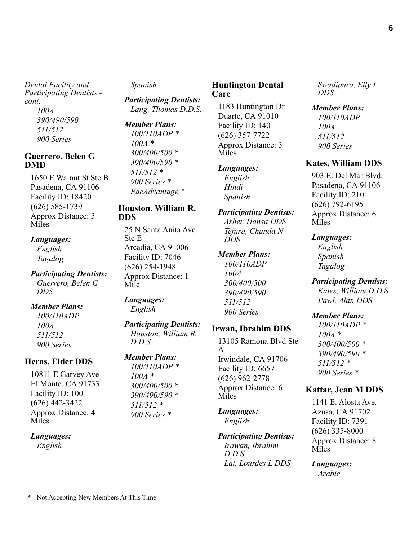*100A 390/490/590 511/512 900 Series* 

# **Guerrero, Belen G DMD**

1650 E Walnut St Ste B Pasadena, CA 91106 Facility ID: 18420 (626) 585-1739 Approx Distance: 5 Miles

### *Languages:*

*English Tagalog*

### *Participating Dentists: Guerrero, Belen G DDS*

# *Member Plans:*

*100/110ADP 100A 511/512 900 Series* 

# **Heras, Elder DDS**

10811 E Garvey Ave El Monte, CA 91733 Facility ID: 100 (626) 442-3422 Approx Distance: 4 Miles

### *Languages:*

*English*

# *Spanish*

*Participating Dentists: Lang, Thomas D.D.S.*

*Member Plans: 100/110ADP \* 100A \* 300/400/500 \* 390/490/590 \* 511/512 \* 900 Series \* PacAdvantage \**

# **Houston, William R. DDS**

25 N Santa Anita Ave Ste E Arcadia, CA 91006 Facility ID: 7046 (626) 254-1948 Approx Distance: 1 Mile

#### *Languages: English*

# *Participating Dentists:*

*Houston, William R. D.D.S.*

# *Member Plans:*

*100/110ADP \* 100A \* 300/400/500 \* 390/490/590 \* 511/512 \* 900 Series \**

# **Huntington Dental Care**

1183 Huntington Dr Duarte, CA 91010 Facility ID: 140 (626) 357-7722 Approx Distance: 3 Miles

# *Languages:*

*English Hindi Spanish*

### *Participating Dentists: Asher, Hansa DDS*

*Tejura, Chanda N DDS*

# *Member Plans:*

*100/110ADP 100A 300/400/500 390/490/590 511/512 900 Series* 

# **Irwan, Ibrahim DDS**

13105 Ramona Blvd Ste A Irwindale, CA 91706 Facility ID: 6657 (626) 962-2778 Approx Distance: 6 Miles

# *Languages:*

*English*

# *Participating Dentists:*

*Irawan, Ibrahim D.D.S. Lat, Lourdes L DDS* *Swadipura, Elly I DDS*

### *Member Plans:*

*100/110ADP 100A 511/512 900 Series* 

# **Kates, William DDS**

903 E. Del Mar Blvd. Pasadena, CA 91106 Facility ID: 210 (626) 792-6195 Approx Distance: 6 Miles

### *Languages:*

*English Spanish Tagalog*

### *Participating Dentists:*

*Kates, William D.D.S. Pawl, Alan DDS*

### *Member Plans:*

*100/110ADP \* 100A \* 300/400/500 \* 390/490/590 \* 511/512 \* 900 Series \**

# **Kattar, Jean M DDS**

1141 E. Alosta Ave. Azusa, CA 91702 Facility ID: 7391 (626) 335-8000 Approx Distance: 8 Miles

*Languages: Arabic*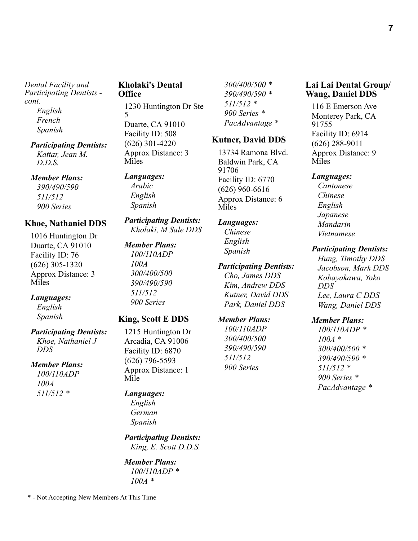**7**

*Dental Facility and Participating Dentists cont. English*

*French Spanish*

### *Participating Dentists: Kattar, Jean M.*

*D.D.S.*

*Member Plans: 390/490/590 511/512 900 Series* 

# **Khoe, Nathaniel DDS**

1016 Huntington Dr Duarte, CA 91010 Facility ID: 76 (626) 305-1320 Approx Distance: 3 Miles

# *Languages:*

*English Spanish*

# *Participating Dentists:*

*Khoe, Nathaniel J DDS*

# *Member Plans:*

*100/110ADP 100A 511/512 \**

# **Kholaki's Dental Office**

1230 Huntington Dr Ste 5 Duarte, CA 91010 Facility ID: 508 (626) 301-4220 Approx Distance: 3 Miles

# *Languages:*

*Arabic English Spanish*

# *Participating Dentists: Kholaki, M Sale DDS*

*Member Plans: 100/110ADP 100A 300/400/500 390/490/590 511/512 900 Series* 

# **King, Scott E DDS**

1215 Huntington Dr Arcadia, CA 91006 Facility ID: 6870 (626) 796-5593 Approx Distance: 1 Mile

# *Languages:*

*English German Spanish*

*Participating Dentists: King, E. Scott D.D.S.*

*Member Plans: 100/110ADP \* 100A \**

*300/400/500 \* 390/490/590 \* 511/512 \* 900 Series \* PacAdvantage \**

# **Kutner, David DDS**

13734 Ramona Blvd. Baldwin Park, CA 91706 Facility ID: 6770 (626) 960-6616 Approx Distance: 6 Miles

# *Languages:*

*Chinese English Spanish*

# *Participating Dentists:*

*Cho, James DDS Kim, Andrew DDS Kutner, David DDS Park, Daniel DDS*

# *Member Plans:*

*100/110ADP 300/400/500 390/490/590 511/512 900 Series* 

# **Lai Lai Dental Group/ Wang, Daniel DDS**

116 E Emerson Ave Monterey Park, CA 91755 Facility ID: 6914 (626) 288-9011 Approx Distance: 9 Miles

# *Languages:*

*Cantonese Chinese English Japanese Mandarin Vietnamese*

# *Participating Dentists:*

*Hung, Timothy DDS Jacobson, Mark DDS Kobayakawa, Yoko DDS Lee, Laura C DDS Wang, Daniel DDS*

# *Member Plans:*

*100/110ADP \* 100A \* 300/400/500 \* 390/490/590 \* 511/512 \* 900 Series \* PacAdvantage \**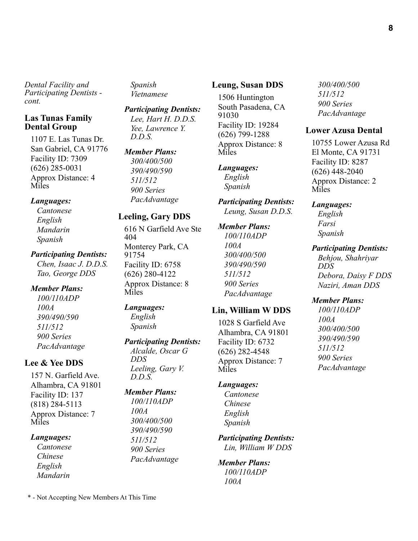### **Las Tunas Family Dental Group**

1107 E. Las Tunas Dr. San Gabriel, CA 91776 Facility ID: 7309 (626) 285-0031 Approx Distance: 4 Miles

### *Languages:*

*Cantonese English Mandarin Spanish*

#### *Participating Dentists:*

*Chen, Isaac J. D.D.S. Tao, George DDS*

### *Member Plans:*

*100/110ADP 100A 390/490/590 511/512 900 Series PacAdvantage* 

# **Lee & Yee DDS**

157 N. Garfield Ave. Alhambra, CA 91801 Facility ID: 137 (818) 284-5113 Approx Distance: 7 Miles

### *Languages:*

*Cantonese Chinese English Mandarin*

*Spanish Vietnamese*

*Participating Dentists: Lee, Hart H. D.D.S. Yee, Lawrence Y. D.D.S.*

### *Member Plans:*

*300/400/500 390/490/590 511/512 900 Series PacAdvantage* 

# **Leeling, Gary DDS**

616 N Garfield Ave Ste 404 Monterey Park, CA 91754 Facility ID: 6758 (626) 280-4122 Approx Distance: 8 Miles

# *Languages:*

*English Spanish*

### *Participating Dentists:*

*Alcalde, Oscar G DDS Leeling, Gary V. D.D.S.*

# *Member Plans:*

*100/110ADP 100A 300/400/500 390/490/590 511/512 900 Series PacAdvantage* 

#### **Leung, Susan DDS**

1506 Huntington South Pasadena, CA 91030 Facility ID: 19284 (626) 799-1288 Approx Distance: 8 Miles

#### *Languages: English*

*Spanish*

*Participating Dentists: Leung, Susan D.D.S.*

#### *Member Plans:*

*100/110ADP 100A 300/400/500 390/490/590 511/512 900 Series PacAdvantage* 

### **Lin, William W DDS**

1028 S Garfield Ave Alhambra, CA 91801 Facility ID: 6732 (626) 282-4548 Approx Distance: 7 Miles

### *Languages:*

*Cantonese Chinese English Spanish*

# *Participating Dentists:*

*Lin, William W DDS*

### *Member Plans: 100/110ADP 100A*

*300/400/500 511/512 900 Series PacAdvantage* 

#### **Lower Azusa Dental**

10755 Lower Azusa Rd El Monte, CA 91731 Facility ID: 8287 (626) 448-2040 Approx Distance: 2 Miles

#### *Languages:*

*English Farsi Spanish*

#### *Participating Dentists:*

*Behjou, Shahriyar DDS Debora, Daisy F DDS Naziri, Aman DDS*

### *Member Plans:*

*100A 300/400/500 390/490/590 511/512 900 Series PacAdvantage* 

*100/110ADP* 

**8**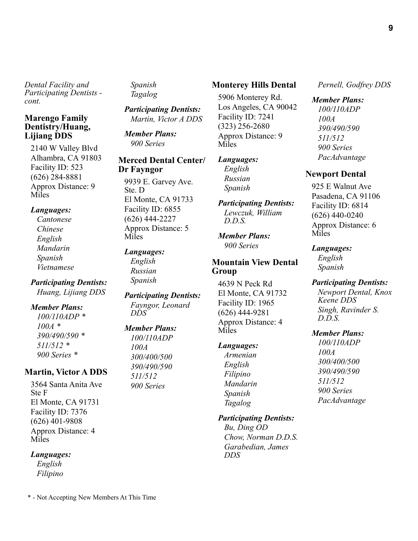# **Marengo Family Dentistry/Huang, Lijiang DDS**

2140 W Valley Blvd Alhambra, CA 91803 Facility ID: 523 (626) 284-8881 Approx Distance: 9 Miles

### *Languages:*

*Cantonese Chinese English Mandarin Spanish Vietnamese*

*Participating Dentists: Huang, Lijiang DDS*

### *Member Plans:*

*100/110ADP \* 100A \* 390/490/590 \* 511/512 \* 900 Series \**

# **Martin, Victor A DDS**

3564 Santa Anita Ave Ste F El Monte, CA 91731 Facility ID: 7376 (626) 401-9808 Approx Distance: 4 Miles

# *Languages:*

*English Filipino* *Spanish Tagalog*

*Participating Dentists: Martin, Victor A DDS*

*Member Plans: 900 Series* 

### **Merced Dental Center/ Dr Fayngor**

9939 E. Garvey Ave. Ste. D El Monte, CA 91733 Facility ID: 6855 (626) 444-2227 Approx Distance: 5 Miles

# *Languages:*

*English Russian Spanish*

*Participating Dentists: Fayngor, Leonard DDS*

# *Member Plans:*

*100/110ADP 100A 300/400/500 390/490/590 511/512 900 Series* 

### **Monterey Hills Dental**

5906 Monterey Rd. Los Angeles, CA 90042 Facility ID: 7241 (323) 256-2680 Approx Distance: 9 Miles

# *Languages:*

*English Russian Spanish*

*Participating Dentists: Lewczuk, William D.D.S.*

*Member Plans: 900 Series* 

# **Mountain View Dental Group**

4639 N Peck Rd El Monte, CA 91732 Facility ID: 1965 (626) 444-9281 Approx Distance: 4 Miles

### *Languages:*

*Armenian English Filipino Mandarin Spanish Tagalog*

### *Participating Dentists:*

*Bu, Ding OD Chow, Norman D.D.S. Garabedian, James DDS*

*Pernell, Godfrey DDS*

# *Member Plans:*

*100/110ADP 100A 390/490/590 511/512 900 Series PacAdvantage* 

### **Newport Dental**

925 E Walnut Ave Pasadena, CA 91106 Facility ID: 6814 (626) 440-0240 Approx Distance: 6 Miles

### *Languages:*

*English Spanish*

### *Participating Dentists:*

*Newport Dental, Knox Keene DDS Singh, Ravinder S. D.D.S.*

### *Member Plans:*

*100/110ADP 100A 300/400/500 390/490/590 511/512 900 Series PacAdvantage*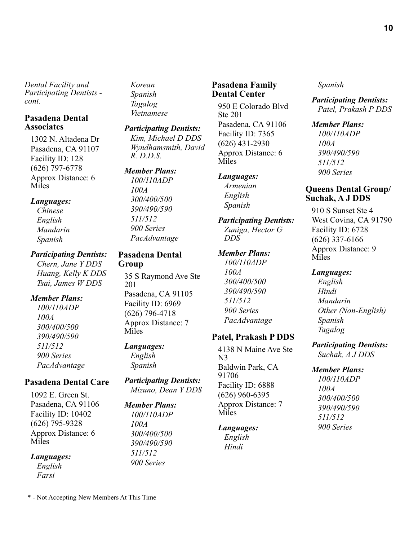### **Pasadena Dental Associates**

1302 N. Altadena Dr Pasadena, CA 91107 Facility ID: 128 (626) 797-6778 Approx Distance: 6 Miles

### *Languages:*

*Chinese English Mandarin Spanish*

### *Participating Dentists:*

*Chern, Jane Y DDS Huang, Kelly K DDS Tsai, James W DDS*

### *Member Plans:*

*100/110ADP 100A 300/400/500 390/490/590 511/512 900 Series PacAdvantage* 

# **Pasadena Dental Care**

1092 E. Green St. Pasadena, CA 91106 Facility ID: 10402 (626) 795-9328 Approx Distance: 6 Miles

*Languages:*

*English Farsi*

*Korean Spanish Tagalog Vietnamese*

### *Participating Dentists:*

*Kim, Michael D DDS Wyndhamsmith, David R. D.D.S.*

### *Member Plans:*

*100/110ADP 100A 300/400/500 390/490/590 511/512 900 Series PacAdvantage* 

### **Pasadena Dental Group**

35 S Raymond Ave Ste 201 Pasadena, CA 91105 Facility ID: 6969 (626) 796-4718 Approx Distance: 7 Miles

# *Languages:*

*English Spanish*

*Participating Dentists: Mizuno, Dean Y DDS*

# *Member Plans:*

*100/110ADP 100A 300/400/500 390/490/590 511/512 900 Series* 

# **Pasadena Family Dental Center**

950 E Colorado Blvd Ste 201 Pasadena, CA 91106 Facility ID: 7365 (626) 431-2930 Approx Distance: 6 Miles

### *Languages:*

*Armenian English Spanish*

#### *Participating Dentists: Zuniga, Hector G DDS*

# *Member Plans: 100/110ADP 100A 300/400/500 390/490/590*

*511/512 900 Series PacAdvantage* 

# **Patel, Prakash P DDS**

4138 N Maine Ave Ste N3 Baldwin Park, CA 91706 Facility ID: 6888 (626) 960-6395 Approx Distance: 7 Miles

# *Languages:*

*English Hindi*

### *Spanish*

*Participating Dentists: Patel, Prakash P DDS*

### *Member Plans:*

*100/110ADP 100A 390/490/590 511/512 900 Series* 

# **Queens Dental Group/ Suchak, A J DDS**

910 S Sunset Ste 4 West Covina, CA 91790 Facility ID: 6728 (626) 337-6166 Approx Distance: 9 **Miles** 

### *Languages:*

*English Hindi Mandarin Other (Non-English) Spanish Tagalog*

# *Participating Dentists:*

*Suchak, A J DDS*

# *Member Plans:*

*100/110ADP 100A 300/400/500 390/490/590 511/512 900 Series* 

**10**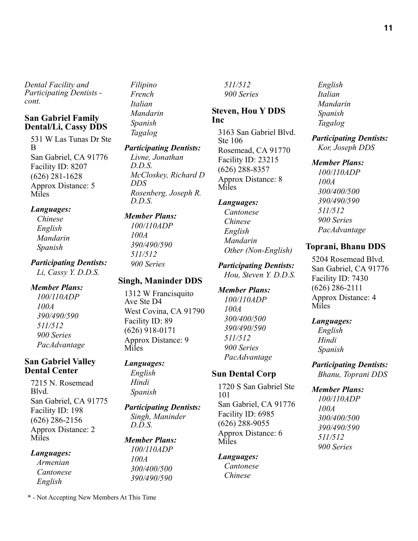### **San Gabriel Family Dental/Li, Cassy DDS**

531 W Las Tunas Dr Ste B San Gabriel, CA 91776 Facility ID: 8207 (626) 281-1628 Approx Distance: 5 Miles

### *Languages:*

*Chinese English Mandarin Spanish*

# *Participating Dentists: Li, Cassy Y. D.D.S.*

### *Member Plans:*

*100/110ADP 100A 390/490/590 511/512 900 Series PacAdvantage* 

### **San Gabriel Valley Dental Center**

7215 N. Rosemead Blvd. San Gabriel, CA 91775 Facility ID: 198 (626) 286-2156 Approx Distance: 2 Miles

### *Languages:*

*Armenian Cantonese English*

*Filipino French Italian Mandarin Spanish Tagalog*

# *Participating Dentists:*

*Livne, Jonathan D.D.S. McCloskey, Richard D DDS Rosenberg, Joseph R. D.D.S.*

# *Member Plans:*

*100/110ADP 100A 390/490/590 511/512 900 Series* 

# **Singh, Maninder DDS**

1312 W Francisquito Ave Ste D4 West Covina, CA 91790 Facility ID: 89 (626) 918-0171 Approx Distance: 9 Miles

### *Languages:*

*English Hindi Spanish*

#### *Participating Dentists: Singh, Maninder D.D.S.*

*Member Plans: 100/110ADP 100A 300/400/500 390/490/590* 

*511/512 900 Series* 

# **Steven, Hou Y DDS Inc**

3163 San Gabriel Blvd. Ste 106 Rosemead, CA 91770 Facility ID: 23215 (626) 288-8357 Approx Distance: 8 Miles

# *Languages:*

*Cantonese Chinese English Mandarin Other (Non-English)*

*Participating Dentists: Hou, Steven Y. D.D.S.*

*Member Plans: 100/110ADP 100A 300/400/500 390/490/590 511/512 900 Series PacAdvantage* 

# **Sun Dental Corp**

1720 S San Gabriel Ste 101 San Gabriel, CA 91776 Facility ID: 6985 (626) 288-9055 Approx Distance: 6 Miles

# *Languages:*

*Cantonese Chinese*

*English Italian Mandarin Spanish Tagalog*

*Participating Dentists: Kor, Joseph DDS*

### *Member Plans:*

*100/110ADP 100A 300/400/500 390/490/590 511/512 900 Series PacAdvantage* 

# **Toprani, Bhanu DDS**

5204 Rosemead Blvd. San Gabriel, CA 91776 Facility ID: 7430 (626) 286-2111 Approx Distance: 4 Miles

# *Languages:*

*English Hindi Spanish*

*Participating Dentists: Bhanu, Toprani DDS*

### *Member Plans:*

*100/110ADP 100A 300/400/500 390/490/590 511/512 900 Series*